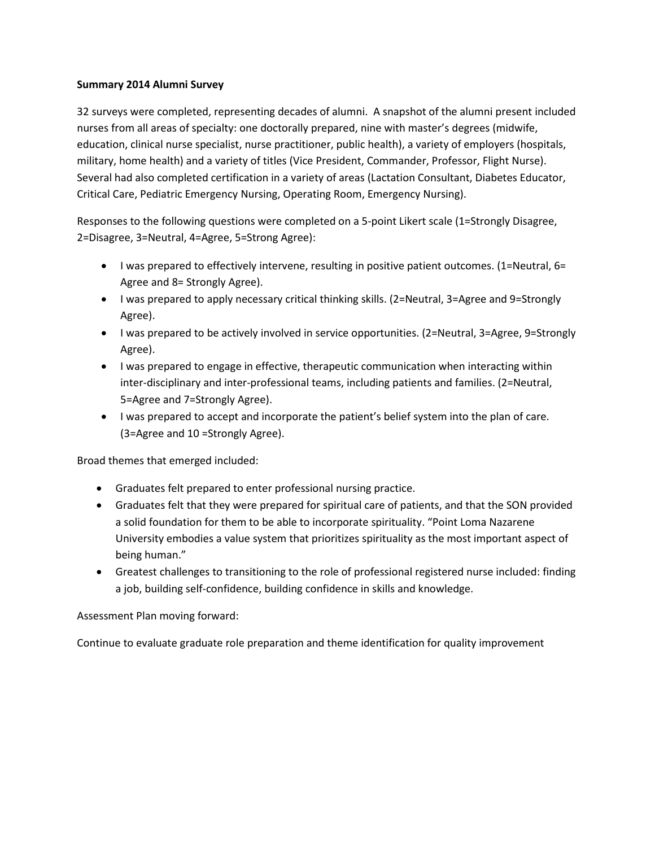## **Summary 2014 Alumni Survey**

32 surveys were completed, representing decades of alumni. A snapshot of the alumni present included nurses from all areas of specialty: one doctorally prepared, nine with master's degrees (midwife, education, clinical nurse specialist, nurse practitioner, public health), a variety of employers (hospitals, military, home health) and a variety of titles (Vice President, Commander, Professor, Flight Nurse). Several had also completed certification in a variety of areas (Lactation Consultant, Diabetes Educator, Critical Care, Pediatric Emergency Nursing, Operating Room, Emergency Nursing).

Responses to the following questions were completed on a 5-point Likert scale (1=Strongly Disagree, 2=Disagree, 3=Neutral, 4=Agree, 5=Strong Agree):

- I was prepared to effectively intervene, resulting in positive patient outcomes. (1=Neutral, 6= Agree and 8= Strongly Agree).
- I was prepared to apply necessary critical thinking skills. (2=Neutral, 3=Agree and 9=Strongly Agree).
- I was prepared to be actively involved in service opportunities. (2=Neutral, 3=Agree, 9=Strongly Agree).
- I was prepared to engage in effective, therapeutic communication when interacting within inter-disciplinary and inter-professional teams, including patients and families. (2=Neutral, 5=Agree and 7=Strongly Agree).
- I was prepared to accept and incorporate the patient's belief system into the plan of care. (3=Agree and 10 =Strongly Agree).

Broad themes that emerged included:

- Graduates felt prepared to enter professional nursing practice.
- Graduates felt that they were prepared for spiritual care of patients, and that the SON provided a solid foundation for them to be able to incorporate spirituality. "Point Loma Nazarene University embodies a value system that prioritizes spirituality as the most important aspect of being human."
- Greatest challenges to transitioning to the role of professional registered nurse included: finding a job, building self-confidence, building confidence in skills and knowledge.

Assessment Plan moving forward:

Continue to evaluate graduate role preparation and theme identification for quality improvement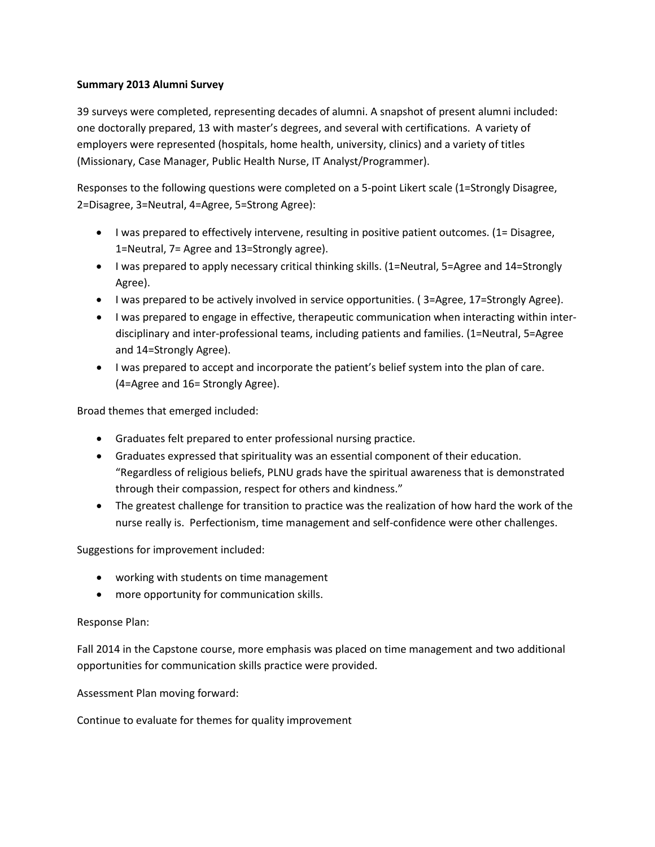## **Summary 2013 Alumni Survey**

39 surveys were completed, representing decades of alumni. A snapshot of present alumni included: one doctorally prepared, 13 with master's degrees, and several with certifications. A variety of employers were represented (hospitals, home health, university, clinics) and a variety of titles (Missionary, Case Manager, Public Health Nurse, IT Analyst/Programmer).

Responses to the following questions were completed on a 5-point Likert scale (1=Strongly Disagree, 2=Disagree, 3=Neutral, 4=Agree, 5=Strong Agree):

- I was prepared to effectively intervene, resulting in positive patient outcomes. (1= Disagree, 1=Neutral, 7= Agree and 13=Strongly agree).
- I was prepared to apply necessary critical thinking skills. (1=Neutral, 5=Agree and 14=Strongly Agree).
- I was prepared to be actively involved in service opportunities. ( 3=Agree, 17=Strongly Agree).
- I was prepared to engage in effective, therapeutic communication when interacting within interdisciplinary and inter-professional teams, including patients and families. (1=Neutral, 5=Agree and 14=Strongly Agree).
- I was prepared to accept and incorporate the patient's belief system into the plan of care. (4=Agree and 16= Strongly Agree).

Broad themes that emerged included:

- Graduates felt prepared to enter professional nursing practice.
- Graduates expressed that spirituality was an essential component of their education. "Regardless of religious beliefs, PLNU grads have the spiritual awareness that is demonstrated through their compassion, respect for others and kindness."
- The greatest challenge for transition to practice was the realization of how hard the work of the nurse really is. Perfectionism, time management and self-confidence were other challenges.

Suggestions for improvement included:

- working with students on time management
- more opportunity for communication skills.

Response Plan:

Fall 2014 in the Capstone course, more emphasis was placed on time management and two additional opportunities for communication skills practice were provided.

Assessment Plan moving forward:

Continue to evaluate for themes for quality improvement